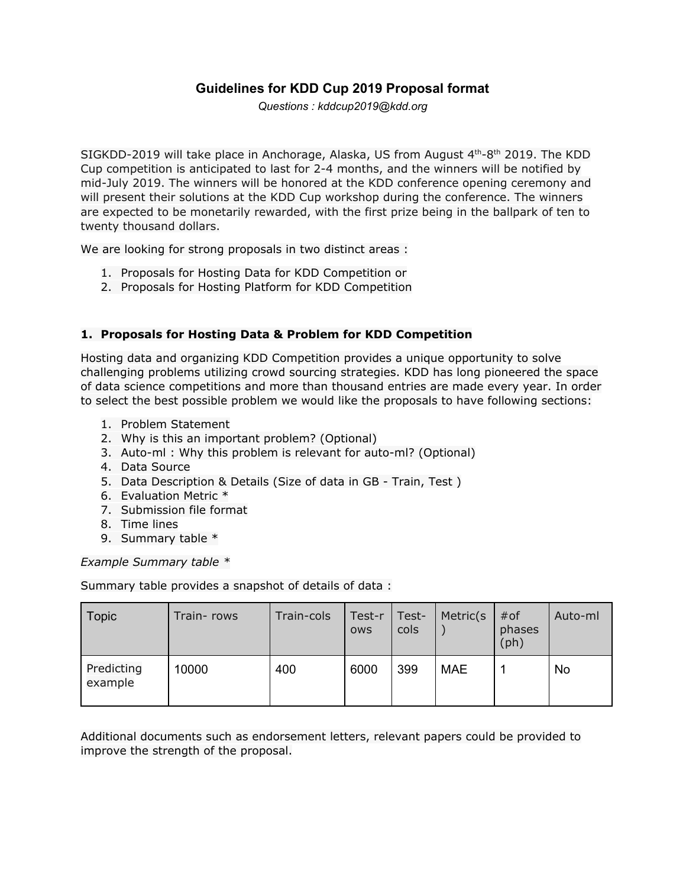## **Guidelines for KDD Cup 2019 Proposal format**

*Questions : kddcup2019@kdd.org*

SIGKDD-2019 will take place in Anchorage, Alaska, US from August 4th-8th 2019. The KDD Cup competition is anticipated to last for 2-4 months, and the winners will be notified by mid-July 2019. The winners will be honored at the KDD conference opening ceremony and will present their solutions at the KDD Cup workshop during the conference. The winners are expected to be monetarily rewarded, with the first prize being in the ballpark of ten to twenty thousand dollars.

We are looking for strong proposals in two distinct areas :

- 1. Proposals for Hosting Data for KDD Competition or
- 2. Proposals for Hosting Platform for KDD Competition

## **1. Proposals for Hosting Data & Problem for KDD Competition**

Hosting data and organizing KDD Competition provides a unique opportunity to solve challenging problems utilizing crowd sourcing strategies. KDD has long pioneered the space of data science competitions and more than thousand entries are made every year. In order to select the best possible problem we would like the proposals to have following sections:

- 1. Problem Statement
- 2. Why is this an important problem? (Optional)
- 3. Auto-ml : Why this problem is relevant for auto-ml? (Optional)
- 4. Data Source
- 5. Data Description & Details (Size of data in GB Train, Test )
- 6. Evaluation Metric \*
- 7. Submission file format
- 8. Time lines
- 9. Summary table \*

*Example Summary table \**

Summary table provides a snapshot of details of data :

| Topic                 | Train-rows | Train-cols | Test-r<br><b>OWS</b> | Test-<br>cols | Metric(s   | $#$ of<br>phases<br>(ph) | Auto-ml |
|-----------------------|------------|------------|----------------------|---------------|------------|--------------------------|---------|
| Predicting<br>example | 10000      | 400        | 6000                 | 399           | <b>MAE</b> |                          | No      |

Additional documents such as endorsement letters, relevant papers could be provided to improve the strength of the proposal.